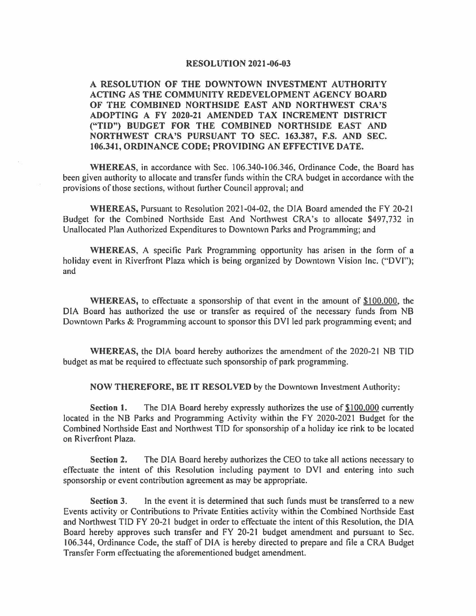## **RESOLUTION 2021-06-03**

**A RESOLUTION OF THE DOWNTOWN INVESTMENT AUTHORITY ACTING AS THE COMMUNITY REDEVELOPMENT AGENCY BOARD OF THE COMBINED NORTHSIDE EAST AND NORTHWEST CRA'S ADOPTING A FY 2020-21 AMENDED TAX INCREMENT DISTRICT ("TID") BUDGET FOR THE COMBINED NORTHSIDE EAST AND NORTHWEST CRA'S PURSUANT TO SEC. 163.387, F.S. AND SEC. 106.341, ORDINANCE CODE; PROVIDING AN EFFECTIVE DATE.** 

WHEREAS, in accordance with Sec. 106.340-106.346, Ordinance Code, the Board has been given authority to allocate and transfer funds within the CRA budget in accordance with the provisions of those sections, without further Council approval; and

**WHEREAS,** Pursuant to Resolution 2021-04-02, the DIA Board amended the FY 20-21 Budget for the Combined Northside East And Northwest CRA's to allocate \$497,732 in Unallocated Plan Authorized Expenditures to Downtown Parks and Programming; and

**WHEREAS,** A specific Park Programming opportunity has arisen in the form of a holiday event in Riverfront Plaza which is being organized by Downtown Vision Inc. ("DVI"); and

**WHEREAS,** to effectuate a sponsorship of that event in the amount of \$100.000, the DIA Board has authorized the use or transfer as required of the necessary funds from NB Downtown Parks & Programming account to sponsor this DVI led park programming event; and

**WHEREAS,** the DIA board hereby authorizes the amendment of the 2020-21 NB TIO budget as mat be required to effectuate such sponsorship of park programming.

**NOW THEREFORE, BE IT RESOLVED** by the Downtown Investment Authority:

**Section 1.** The DIA Board hereby expressly authorizes the use of \$100,000 currently located in the NB Parks and Programming Activity within the FY 2020-2021 Budget for the Combined Northside East and Northwest TIO for sponsorship of a holiday ice rink to be located on Riverfront Plaza.

**Section 2.** The DIA Board hereby authorizes the CEO to take all actions necessary to effectuate the intent of this Resolution including payment to DVI and entering into such sponsorship or event contribution agreement as may be appropriate.

**Section** 3. In the event it is determined that such funds must be transferred to a new Events activity or Contributions to Private Entities activity within the Combined Northside East and Northwest TID FY 20-21 budget in order to effectuate the intent of this Resolution, the DIA Board hereby approves such transfer and FY 20-21 budget amendment and pursuant to Sec. 106.344, Ordinance Code, the staff of DIA is hereby directed to prepare and file a CRA Budget Transfer Form effectuating the aforementioned budget amendment.